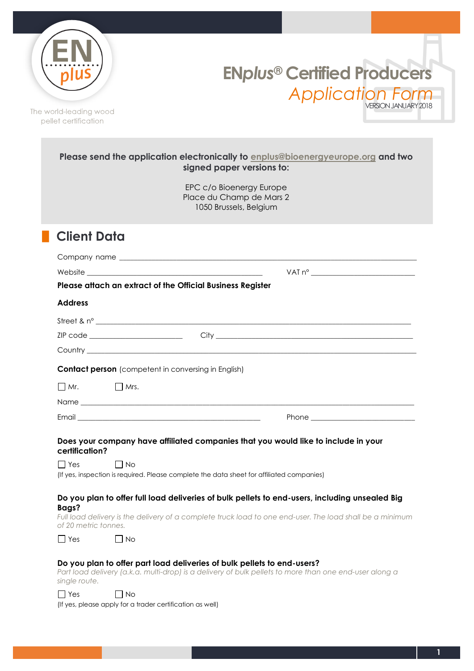

**EN***plus***® Certified Producers** *Application Form* VERSION JANUARY 2018

The world-leading wood pellet certification

|                               | Please send the application electronically to enplus@bioenergyeurope.org and two<br>signed paper versions to:                                                                                                                  |
|-------------------------------|--------------------------------------------------------------------------------------------------------------------------------------------------------------------------------------------------------------------------------|
|                               | EPC c/o Bioenergy Europe<br>Place du Champ de Mars 2<br>1050 Brussels, Belgium                                                                                                                                                 |
| <b>Client Data</b>            |                                                                                                                                                                                                                                |
|                               |                                                                                                                                                                                                                                |
|                               |                                                                                                                                                                                                                                |
|                               | Please attach an extract of the Official Business Register                                                                                                                                                                     |
| <b>Address</b>                |                                                                                                                                                                                                                                |
|                               |                                                                                                                                                                                                                                |
|                               |                                                                                                                                                                                                                                |
|                               | Country experience and the contract of the contract of the contract of the contract of the contract of the contract of the contract of the contract of the contract of the contract of the contract of the contract of the con |
|                               | <b>Contact person</b> (competent in conversing in English)                                                                                                                                                                     |
| $\Box$ Mr.                    | $\Box$ Mrs.                                                                                                                                                                                                                    |
|                               |                                                                                                                                                                                                                                |
|                               |                                                                                                                                                                                                                                |
| certification?<br>$\Box$ Yes  | Does your company have affiliated companies that you would like to include in your<br>$\Box$ No<br>(If yes, inspection is required. Please complete the data sheet for affiliated companies)                                   |
| Bags?<br>of 20 metric tonnes. | Do you plan to offer full load deliveries of bulk pellets to end-users, including unsealed Big<br>Full load delivery is the delivery of a complete truck load to one end-user. The load shall be a minimum                     |
| $\Box$ Yes                    | I I No                                                                                                                                                                                                                         |
| single route.                 | Do you plan to offer part load deliveries of bulk pellets to end-users?<br>Part load delivery (a.k.a. multi-drop) is a delivery of bulk pellets to more than one end-user along a                                              |
| $\Box$ Yes                    | l No<br>(If yes, please apply for a trader certification as well)                                                                                                                                                              |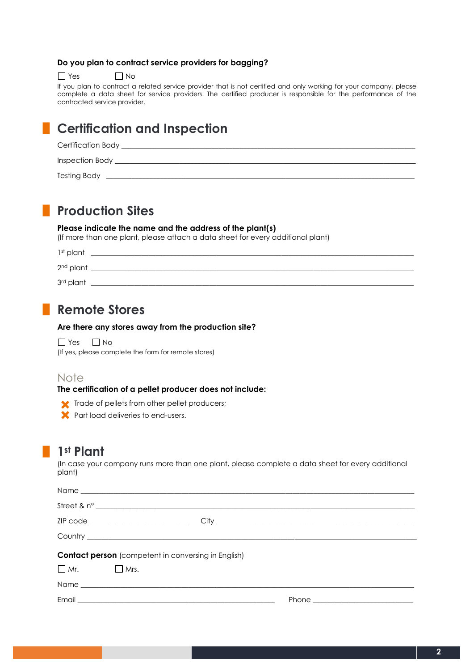### **Do you plan to contract service providers for bagging?**

 $\Box$  Yes  $\Box$  No

If you plan to contract a related service provider that is not certified and only working for your company, please complete a data sheet for service providers. The certified producer is responsible for the performance of the contracted service provider.

## **█ Certification and Inspection**

| Certification Body  |  |
|---------------------|--|
| Inspection Body     |  |
| <b>Testing Body</b> |  |

## **█ Production Sites**

### **Please indicate the name and the address of the plant(s)**

(If more than one plant, please attach a data sheet for every additional plant)

| 1st plant             |  |
|-----------------------|--|
| 2 <sup>nd</sup> plant |  |
| 3rd plant             |  |

## **█ Remote Stores**

### **Are there any stores away from the production site?**

 $\Box$  Yes  $\Box$  No (If yes, please complete the form for remote stores)

### Note

**The certification of a pellet producer does not include:**

- Trade of pellets from other pellet producers;
- **X** Part load deliveries to end-users.

## **█ 1st Plant**

(In case your company runs more than one plant, please complete a data sheet for every additional plant)

| Street & $n^{\circ}$                                       |  |  |  |  |  |  |
|------------------------------------------------------------|--|--|--|--|--|--|
| ZIP code ________________________________                  |  |  |  |  |  |  |
|                                                            |  |  |  |  |  |  |
| <b>Contact person</b> (competent in conversing in English) |  |  |  |  |  |  |
| $\Box$ Mr. $\Box$ Mrs.                                     |  |  |  |  |  |  |
|                                                            |  |  |  |  |  |  |
|                                                            |  |  |  |  |  |  |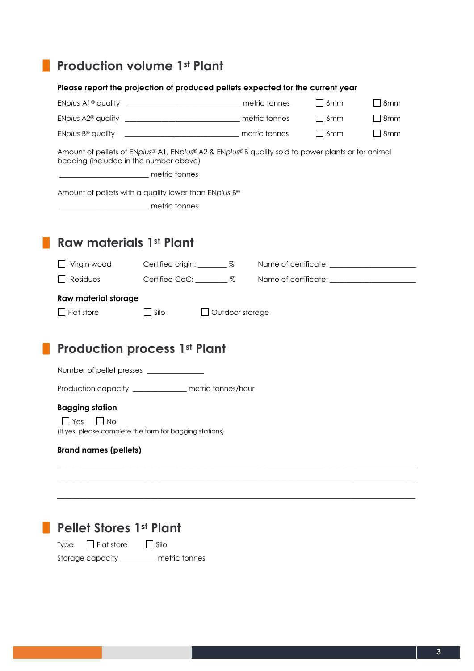# **█ Production volume 1st Plant**

|                              | Please report the projection of produced pellets expected for the current year                                                               |                        |                |            |
|------------------------------|----------------------------------------------------------------------------------------------------------------------------------------------|------------------------|----------------|------------|
|                              |                                                                                                                                              |                        | $\Box$ 6mm     | $\Box$ 8mm |
|                              |                                                                                                                                              |                        | $\Box$ 6mm     | $\Box$ 8mm |
|                              |                                                                                                                                              |                        | 6mm<br>$\perp$ | 8mm        |
|                              | Amount of pellets of ENplus® A1, ENplus® A2 & ENplus® B quality sold to power plants or for animal<br>bedding (included in the number above) |                        |                |            |
|                              | metric tonnes                                                                                                                                |                        |                |            |
|                              | Amount of pellets with a quality lower than ENplus B®                                                                                        |                        |                |            |
|                              | metric tonnes                                                                                                                                |                        |                |            |
|                              |                                                                                                                                              |                        |                |            |
| Raw materials 1st Plant      |                                                                                                                                              |                        |                |            |
| $\Box$ Virgin wood           | Certified origin: _______ %                                                                                                                  |                        |                |            |
| Residues<br>$\Box$           | Certified CoC: ________ %                                                                                                                    |                        |                |            |
| <b>Raw material storage</b>  |                                                                                                                                              |                        |                |            |
| $\Box$ Flat store            | $\Box$ Silo                                                                                                                                  | $\Box$ Outdoor storage |                |            |
|                              |                                                                                                                                              |                        |                |            |
|                              | <b>Production process 1st Plant</b>                                                                                                          |                        |                |            |
|                              | Number of pellet presses ________________                                                                                                    |                        |                |            |
|                              | Production capacity ____________ metric tonnes/hour                                                                                          |                        |                |            |
| <b>Bagging station</b>       |                                                                                                                                              |                        |                |            |
| $\sqsupset$ Yes<br>$\Box$ No | (If yes, please complete the form for bagging stations)                                                                                      |                        |                |            |
| <b>Brand names (pellets)</b> |                                                                                                                                              |                        |                |            |
|                              |                                                                                                                                              |                        |                |            |
|                              |                                                                                                                                              |                        |                |            |
|                              |                                                                                                                                              |                        |                |            |

## **█ Pellet Stores 1st Plant**

Type  $\Box$  Flat store  $\Box$  Silo Storage capacity \_\_\_\_\_\_\_\_\_\_ metric tonnes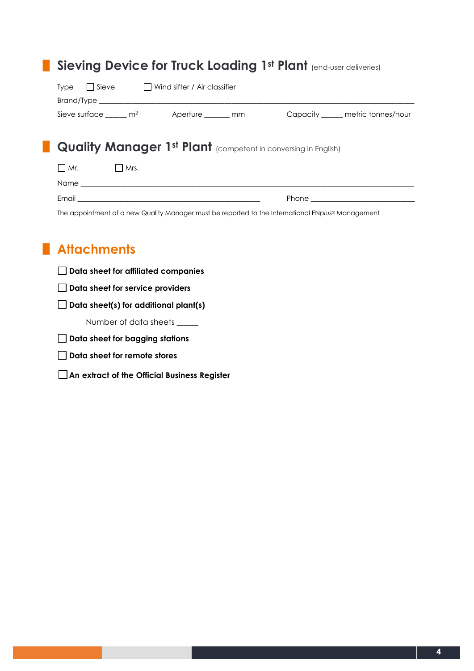|                                                                                                   |  | <b>Sieving Device for Truck Loading 1st Plant (end-user deliveries)</b>                                        |  |  |  |
|---------------------------------------------------------------------------------------------------|--|----------------------------------------------------------------------------------------------------------------|--|--|--|
| $Type \qquad$ Sieve $\qquad$ Wind sifter / Air classifier                                         |  |                                                                                                                |  |  |  |
|                                                                                                   |  | Sieve surface ______ m <sup>2</sup> Aperture _______ mm Capacity ______ metric tonnes/hour                     |  |  |  |
| <b>Quality Manager 1st Plant</b> (competent in conversing in English)                             |  |                                                                                                                |  |  |  |
| $\Box$ Mr. $\Box$ Mrs.                                                                            |  |                                                                                                                |  |  |  |
|                                                                                                   |  |                                                                                                                |  |  |  |
|                                                                                                   |  | Phone that the contract of the contract of the contract of the contract of the contract of the contract of the |  |  |  |
| The appointment of a new Quality Manager must be reported to the International ENplus® Management |  |                                                                                                                |  |  |  |

# **█ Attachments**

|  |  |  |  |  | $\Box$ Data sheet for affiliated companies |
|--|--|--|--|--|--------------------------------------------|
|--|--|--|--|--|--------------------------------------------|

**Data sheet for service providers**

**Data sheet(s) for additional plant(s)**

Number of data sheets \_\_\_\_\_\_

- **Data sheet for bagging stations**
- **Data sheet for remote stores**
- **An extract of the Official Business Register**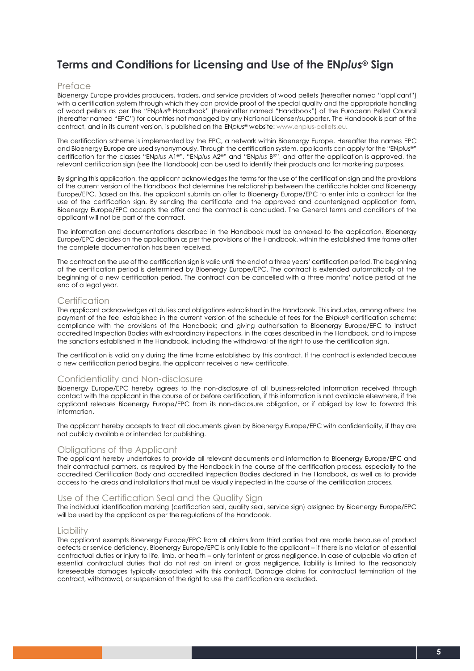## **Terms and Conditions for Licensing and Use of the EN***plus***® Sign**

### Preface

Bioenergy Europe provides producers, traders, and service providers of wood pellets (hereafter named "applicant") with a certification system through which they can provide proof of the special quality and the appropriate handling of wood pellets as per the "EN*plus*® Handbook" (hereinafter named "Handbook") of the European Pellet Council (hereafter named "EPC") for countries not managed by any National Licenser/supporter. The Handbook is part of the contract, and in its current version, is published on the EN*plus*® website: www.enplus-pellets.eu.

The certification scheme is implemented by the EPC, a network within Bioenergy Europe. Hereafter the names EPC and Bioenergy Europe are used synonymously. Through the certification system, applicants can apply for the "EN*plus®*" certification for the classes "EN*plus* A1®", "EN*plus* A2®" and "EN*plus* B®", and after the application is approved, the relevant certification sign (see the Handbook) can be used to identify their products and for marketing purposes.

By signing this application, the applicant acknowledges the terms for the use of the certification sign and the provisions of the current version of the Handbook that determine the relationship between the certificate holder and Bioenergy Europe/EPC. Based on this, the applicant submits an offer to Bioenergy Europe/EPC to enter into a contract for the use of the certification sign. By sending the certificate and the approved and countersigned application form, Bioenergy Europe/EPC accepts the offer and the contract is concluded. The General terms and conditions of the applicant will not be part of the contract.

The information and documentations described in the Handbook must be annexed to the application. Bioenergy Europe/EPC decides on the application as per the provisions of the Handbook, within the established time frame after the complete documentation has been received.

The contract on the use of the certification sign is valid until the end of a three years' certification period. The beginning of the certification period is determined by Bioenergy Europe/EPC. The contract is extended automatically at the beginning of a new certification period. The contract can be cancelled with a three months' notice period at the end of a legal year.

### **Certification**

The applicant acknowledges all duties and obligations established in the Handbook. This includes, among others: the payment of the fee, established in the current version of the schedule of fees for the EN*plus*® certification scheme; compliance with the provisions of the Handbook; and giving authorisation to Bioenergy Europe/EPC to instruct accredited Inspection Bodies with extraordinary inspections, in the cases described in the Handbook, and to impose the sanctions established in the Handbook, including the withdrawal of the right to use the certification sign.

The certification is valid only during the time frame established by this contract. If the contract is extended because a new certification period begins, the applicant receives a new certificate.

### Confidentiality and Non-disclosure

Bioenergy Europe/EPC hereby agrees to the non-disclosure of all business-related information received through contact with the applicant in the course of or before certification, if this information is not available elsewhere, if the applicant releases Bioenergy Europe/EPC from its non-disclosure obligation, or if obliged by law to forward this information.

The applicant hereby accepts to treat all documents given by Bioenergy Europe/EPC with confidentiality, if they are not publicly available or intended for publishing.

### Obligations of the Applicant

The applicant hereby undertakes to provide all relevant documents and information to Bioenergy Europe/EPC and their contractual partners, as required by the Handbook in the course of the certification process, especially to the accredited Certification Body and accredited Inspection Bodies declared in the Handbook, as well as to provide access to the areas and installations that must be visually inspected in the course of the certification process.

### Use of the Certification Seal and the Quality Sign

The individual identification marking (certification seal, quality seal, service sign) assigned by Bioenergy Europe/EPC will be used by the applicant as per the regulations of the Handbook.

#### Liability

The applicant exempts Bioenergy Europe/EPC from all claims from third parties that are made because of product defects or service deficiency. Bioenergy Europe/EPC is only liable to the applicant – if there is no violation of essential contractual duties or injury to life, limb, or health – only for intent or gross negligence. In case of culpable violation of essential contractual duties that do not rest on intent or gross negligence, liability is limited to the reasonably foreseeable damages typically associated with this contract. Damage claims for contractual termination of the contract, withdrawal, or suspension of the right to use the certification are excluded.